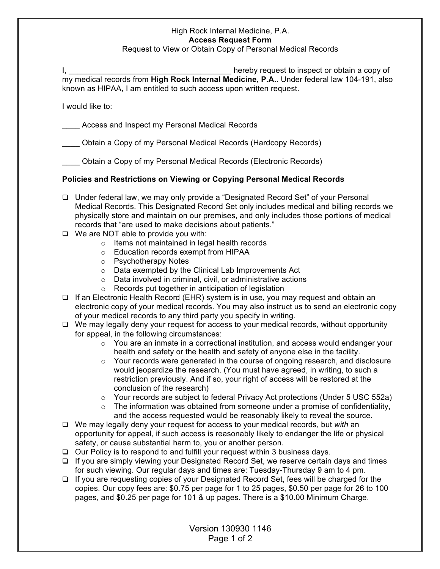## High Rock Internal Medicine, P.A. **Access Request Form** Request to View or Obtain Copy of Personal Medical Records

|                                                                    | hereby request to inspect or obtain a copy of                                            |
|--------------------------------------------------------------------|------------------------------------------------------------------------------------------|
|                                                                    | my medical records from High Rock Internal Medicine, P.A Under federal law 104-191, also |
| known as HIPAA, I am entitled to such access upon written request. |                                                                                          |

I would like to:

Access and Inspect my Personal Medical Records

\_\_\_\_ Obtain a Copy of my Personal Medical Records (Hardcopy Records)

\_\_\_\_ Obtain a Copy of my Personal Medical Records (Electronic Records)

## **Policies and Restrictions on Viewing or Copying Personal Medical Records**

- Under federal law, we may only provide a "Designated Record Set" of your Personal Medical Records. This Designated Record Set only includes medical and billing records we physically store and maintain on our premises, and only includes those portions of medical records that "are used to make decisions about patients."
- $\Box$  We are NOT able to provide you with:
	- $\circ$  Items not maintained in legal health records
	- o Education records exempt from HIPAA
	- o Psychotherapy Notes
	- o Data exempted by the Clinical Lab Improvements Act
	- o Data involved in criminal, civil, or administrative actions
	- o Records put together in anticipation of legislation
- $\Box$  If an Electronic Health Record (EHR) system is in use, you may request and obtain an electronic copy of your medical records. You may also instruct us to send an electronic copy of your medical records to any third party you specify in writing.
- $\Box$  We may legally deny your request for access to your medical records, without opportunity for appeal, in the following circumstances:
	- $\circ$  You are an inmate in a correctional institution, and access would endanger your health and safety or the health and safety of anyone else in the facility.
	- $\circ$  Your records were generated in the course of ongoing research, and disclosure would jeopardize the research. (You must have agreed, in writing, to such a restriction previously. And if so, your right of access will be restored at the conclusion of the research)
	- $\circ$  Your records are subject to federal Privacy Act protections (Under 5 USC 552a)
	- $\circ$  The information was obtained from someone under a promise of confidentiality, and the access requested would be reasonably likely to reveal the source.
- We may legally deny your request for access to your medical records, but *with* an opportunity for appeal, if such access is reasonably likely to endanger the life or physical safety, or cause substantial harm to, you or another person.
- $\Box$  Our Policy is to respond to and fulfill your request within 3 business days.
- □ If you are simply viewing your Designated Record Set, we reserve certain days and times for such viewing. Our regular days and times are: Tuesday-Thursday 9 am to 4 pm.
- $\Box$  If you are requesting copies of your Designated Record Set, fees will be charged for the copies. Our copy fees are: \$0.75 per page for 1 to 25 pages, \$0.50 per page for 26 to 100 pages, and \$0.25 per page for 101 & up pages. There is a \$10.00 Minimum Charge.